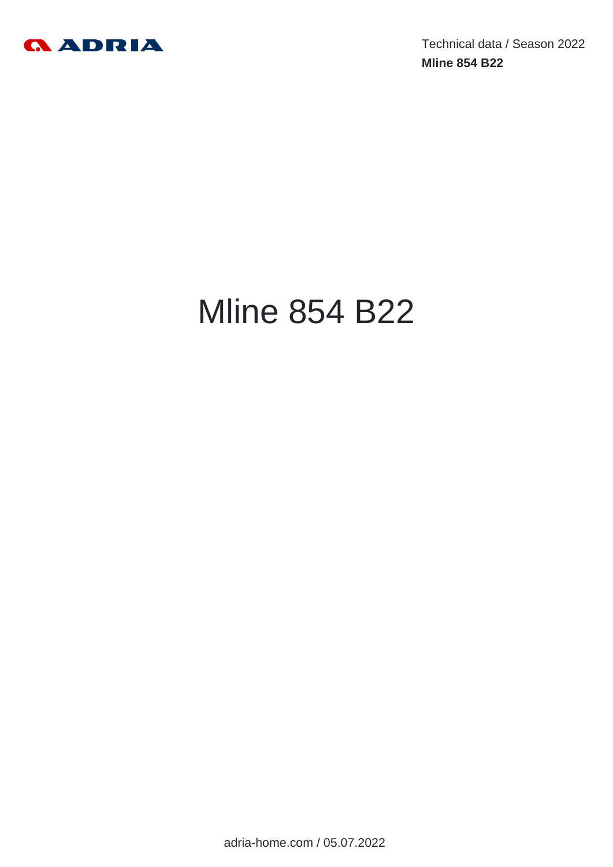

Technical data / Season 2022 **Mline 854 B22**

# Mline 854 B22

adria-home.com / 05.07.2022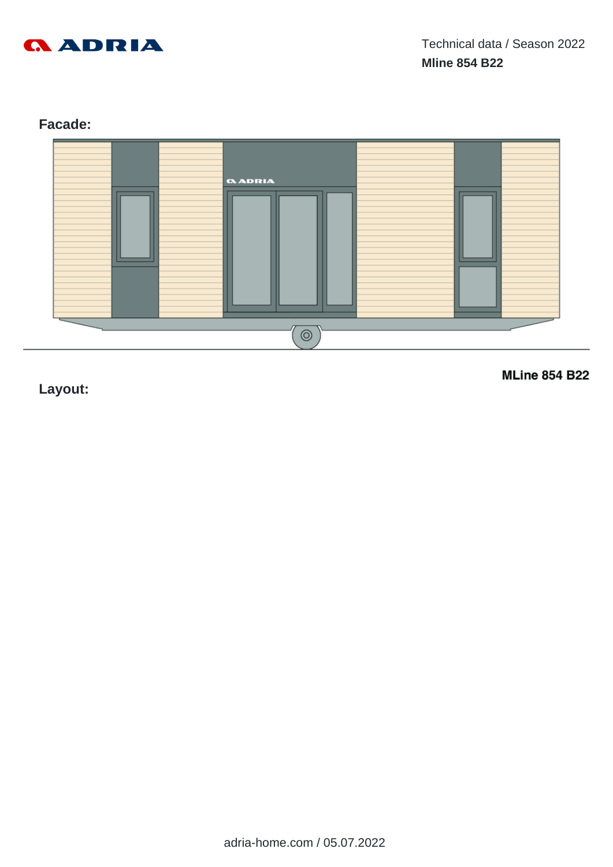

# **Facade:**



**Layout:**

**MLine 854 B22**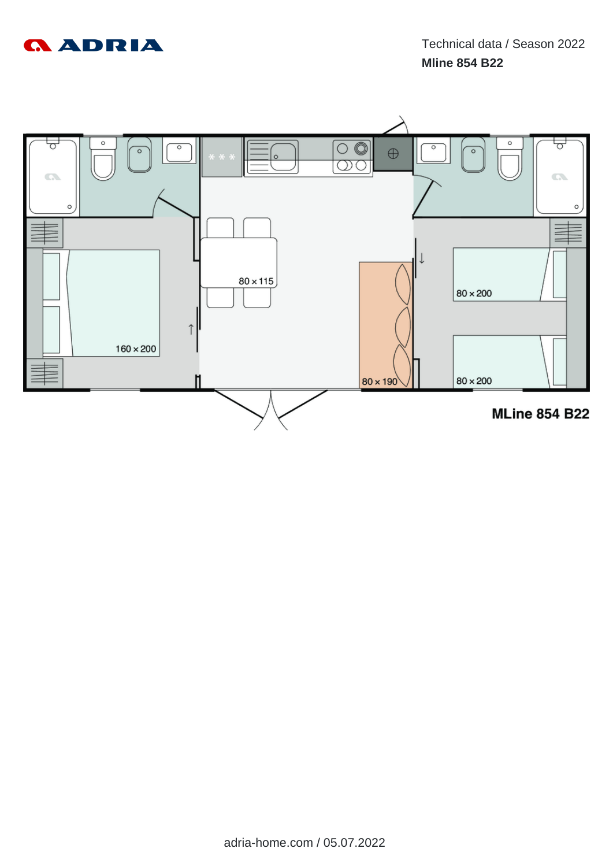

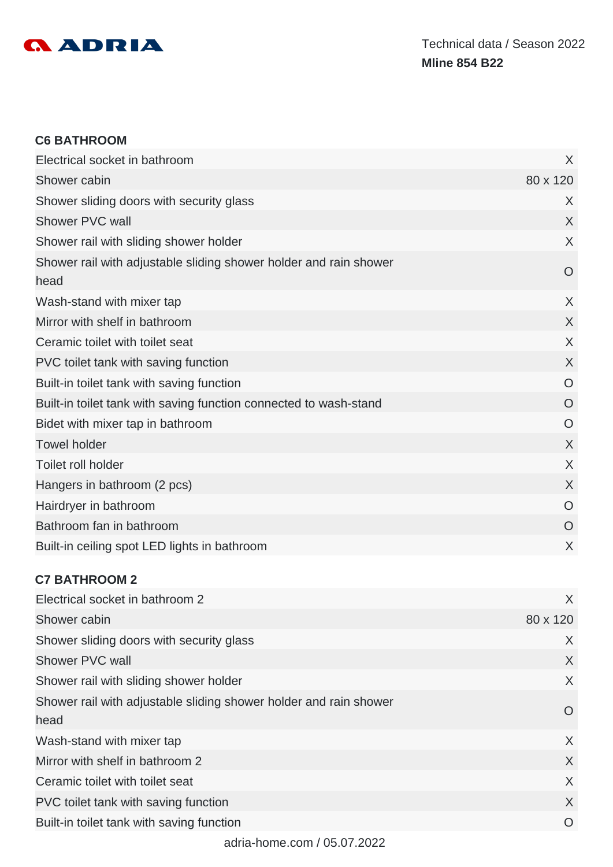

#### **C6 BATHROOM**

| Electrical socket in bathroom                                             | X              |
|---------------------------------------------------------------------------|----------------|
| Shower cabin                                                              | 80 x 120       |
| Shower sliding doors with security glass                                  | X              |
| Shower PVC wall                                                           | X              |
| Shower rail with sliding shower holder                                    | $\sf X$        |
| Shower rail with adjustable sliding shower holder and rain shower<br>head | O              |
| Wash-stand with mixer tap                                                 | $\chi$         |
| Mirror with shelf in bathroom                                             | $\sf X$        |
| Ceramic toilet with toilet seat                                           | $\sf X$        |
| PVC toilet tank with saving function                                      | $\chi$         |
| Built-in toilet tank with saving function                                 | O              |
| Built-in toilet tank with saving function connected to wash-stand         | O              |
| Bidet with mixer tap in bathroom                                          | O              |
| <b>Towel holder</b>                                                       | X              |
| Toilet roll holder                                                        | X              |
| Hangers in bathroom (2 pcs)                                               | $\chi$         |
| Hairdryer in bathroom                                                     | $\overline{O}$ |
| Bathroom fan in bathroom                                                  | $\overline{O}$ |
| Built-in ceiling spot LED lights in bathroom                              | X              |

#### **C7 BATHROOM 2**

| Electrical socket in bathroom 2                                   | X        |
|-------------------------------------------------------------------|----------|
| Shower cabin                                                      | 80 x 120 |
| Shower sliding doors with security glass                          | X        |
| Shower PVC wall                                                   | X        |
| Shower rail with sliding shower holder                            | X        |
| Shower rail with adjustable sliding shower holder and rain shower | O        |
| head                                                              |          |
| Wash-stand with mixer tap                                         | X        |
| Mirror with shelf in bathroom 2                                   | X        |
| Ceramic toilet with toilet seat                                   | X        |
| PVC toilet tank with saving function                              | X        |
| Built-in toilet tank with saving function                         | O        |
|                                                                   |          |

adria-home.com / 05.07.2022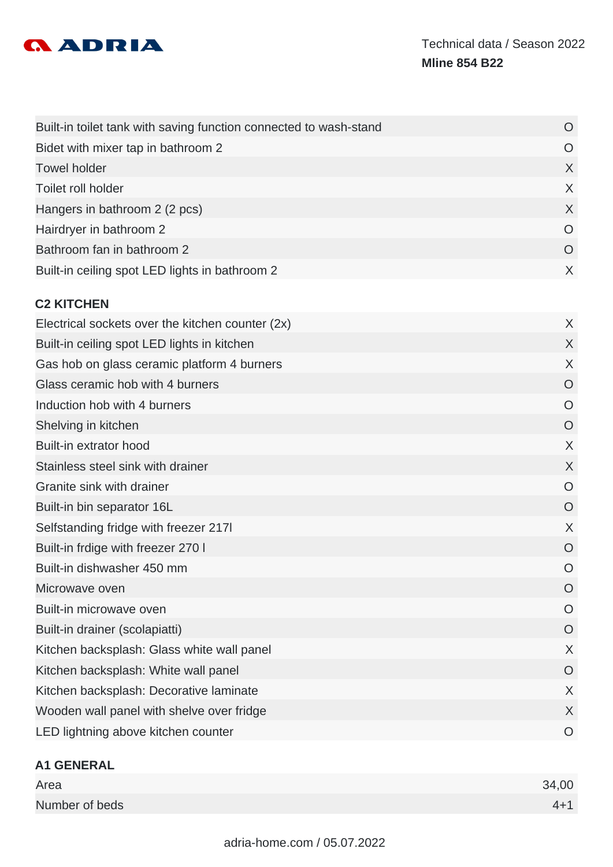

| Bidet with mixer tap in bathroom 2               | O              |
|--------------------------------------------------|----------------|
| <b>Towel holder</b>                              | X              |
| Toilet roll holder                               | X              |
| Hangers in bathroom 2 (2 pcs)                    | X              |
| Hairdryer in bathroom 2                          | $\circ$        |
| Bathroom fan in bathroom 2                       | O              |
| Built-in ceiling spot LED lights in bathroom 2   | X              |
| <b>C2 KITCHEN</b>                                |                |
| Electrical sockets over the kitchen counter (2x) | X              |
| Built-in ceiling spot LED lights in kitchen      | X              |
| Gas hob on glass ceramic platform 4 burners      | X              |
| Glass ceramic hob with 4 burners                 | O              |
| Induction hob with 4 burners                     | $\circ$        |
| Shelving in kitchen                              | $\overline{O}$ |
| Built-in extrator hood                           | X              |
| Stainless steel sink with drainer                | X              |
| Granite sink with drainer                        | $\circ$        |
| Built-in bin separator 16L                       | O              |
| Selfstanding fridge with freezer 2171            | X              |
| Built-in frdige with freezer 270 I               | $\circ$        |
| Built-in dishwasher 450 mm                       | $\circ$        |
| Microwave oven                                   | O              |
| Built-in microwave oven                          | $\circ$        |
| Built-in drainer (scolapiatti)                   | $\overline{O}$ |
| Kitchen backsplash: Glass white wall panel       | X              |
| Kitchen backsplash: White wall panel             | $\overline{O}$ |
| Kitchen backsplash: Decorative laminate          | X              |
| Wooden wall panel with shelve over fridge        | X              |
| LED lightning above kitchen counter              | $\circ$        |

# **A1 GENERAL**

| Area           | 34,00   |
|----------------|---------|
| Number of beds | $4 + 1$ |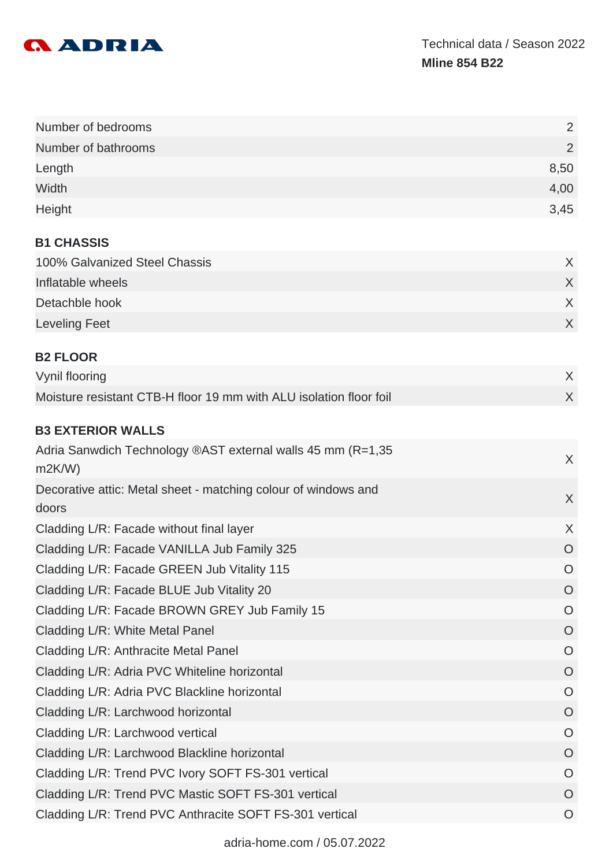

| Number of bedrooms                                                   | 2       |
|----------------------------------------------------------------------|---------|
| Number of bathrooms                                                  | 2       |
| Length                                                               | 8,50    |
| Width                                                                | 4,00    |
| Height                                                               | 3,45    |
| <b>B1 CHASSIS</b>                                                    |         |
| 100% Galvanized Steel Chassis                                        | X       |
| Inflatable wheels                                                    | $\sf X$ |
| Detachble hook                                                       | X       |
| <b>Leveling Feet</b>                                                 | X       |
| <b>B2 FLOOR</b>                                                      |         |
| Vynil flooring                                                       | X       |
| Moisture resistant CTB-H floor 19 mm with ALU isolation floor foil   | $\sf X$ |
|                                                                      |         |
| <b>B3 EXTERIOR WALLS</b>                                             |         |
| Adria Sanwdich Technology ®AST external walls 45 mm (R=1,35<br>m2K/W | $\sf X$ |
| Decorative attic: Metal sheet - matching colour of windows and       |         |
| doors                                                                | $\sf X$ |
| Cladding L/R: Facade without final layer                             | X       |
| Cladding L/R: Facade VANILLA Jub Family 325                          | O       |
| Cladding L/R: Facade GREEN Jub Vitality 115                          | $\circ$ |
| Cladding L/R: Facade BLUE Jub Vitality 20                            | O       |
| Cladding L/R: Facade BROWN GREY Jub Family 15                        | O       |
| Cladding L/R: White Metal Panel                                      | O       |
| Cladding L/R: Anthracite Metal Panel                                 | O       |
| Cladding L/R: Adria PVC Whiteline horizontal                         | O       |
| Cladding L/R: Adria PVC Blackline horizontal                         | O       |
| Cladding L/R: Larchwood horizontal                                   | O       |
| Cladding L/R: Larchwood vertical                                     | O       |
| Cladding L/R: Larchwood Blackline horizontal                         | O       |
| Cladding L/R: Trend PVC Ivory SOFT FS-301 vertical                   | O       |
| Cladding L/R: Trend PVC Mastic SOFT FS-301 vertical                  | O       |
| Cladding L/R: Trend PVC Anthracite SOFT FS-301 vertical              | O       |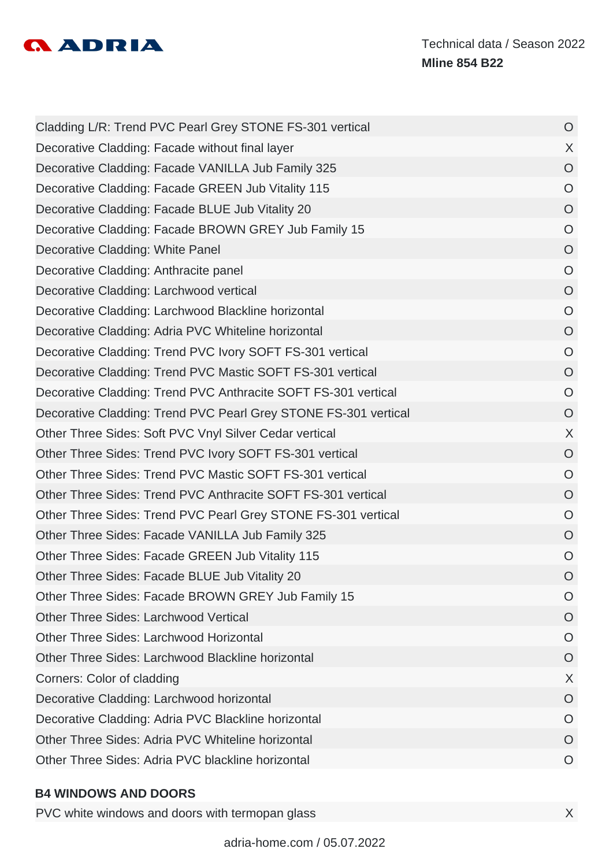

| Cladding L/R: Trend PVC Pearl Grey STONE FS-301 vertical        | $\circ$        |
|-----------------------------------------------------------------|----------------|
| Decorative Cladding: Facade without final layer                 | $\chi$         |
| Decorative Cladding: Facade VANILLA Jub Family 325              | $\overline{O}$ |
| Decorative Cladding: Facade GREEN Jub Vitality 115              | $\circ$        |
| Decorative Cladding: Facade BLUE Jub Vitality 20                | $\overline{O}$ |
| Decorative Cladding: Facade BROWN GREY Jub Family 15            | $\overline{O}$ |
| Decorative Cladding: White Panel                                | $\circ$        |
| Decorative Cladding: Anthracite panel                           | $\circ$        |
| Decorative Cladding: Larchwood vertical                         | $\overline{O}$ |
| Decorative Cladding: Larchwood Blackline horizontal             | $\circ$        |
| Decorative Cladding: Adria PVC Whiteline horizontal             | $\circ$        |
| Decorative Cladding: Trend PVC Ivory SOFT FS-301 vertical       | $\overline{O}$ |
| Decorative Cladding: Trend PVC Mastic SOFT FS-301 vertical      | $\overline{O}$ |
| Decorative Cladding: Trend PVC Anthracite SOFT FS-301 vertical  | $\circ$        |
| Decorative Cladding: Trend PVC Pearl Grey STONE FS-301 vertical | $\circ$        |
| Other Three Sides: Soft PVC Vnyl Silver Cedar vertical          | X              |
| Other Three Sides: Trend PVC Ivory SOFT FS-301 vertical         | $\circ$        |
| Other Three Sides: Trend PVC Mastic SOFT FS-301 vertical        | $\circ$        |
| Other Three Sides: Trend PVC Anthracite SOFT FS-301 vertical    | O              |
| Other Three Sides: Trend PVC Pearl Grey STONE FS-301 vertical   | $\circ$        |
| Other Three Sides: Facade VANILLA Jub Family 325                | $\circ$        |
| Other Three Sides: Facade GREEN Jub Vitality 115                | $\circ$        |
| Other Three Sides: Facade BLUE Jub Vitality 20                  | O              |
| Other Three Sides: Facade BROWN GREY Jub Family 15              | O              |
| <b>Other Three Sides: Larchwood Vertical</b>                    | O              |
| <b>Other Three Sides: Larchwood Horizontal</b>                  | O              |
| Other Three Sides: Larchwood Blackline horizontal               | O              |
| Corners: Color of cladding                                      | X              |
| Decorative Cladding: Larchwood horizontal                       | O              |
| Decorative Cladding: Adria PVC Blackline horizontal             | O              |
| Other Three Sides: Adria PVC Whiteline horizontal               | O              |
| Other Three Sides: Adria PVC blackline horizontal               | O              |
|                                                                 |                |

#### **B4 WINDOWS AND DOORS**

PVC white windows and doors with termopan glass **X**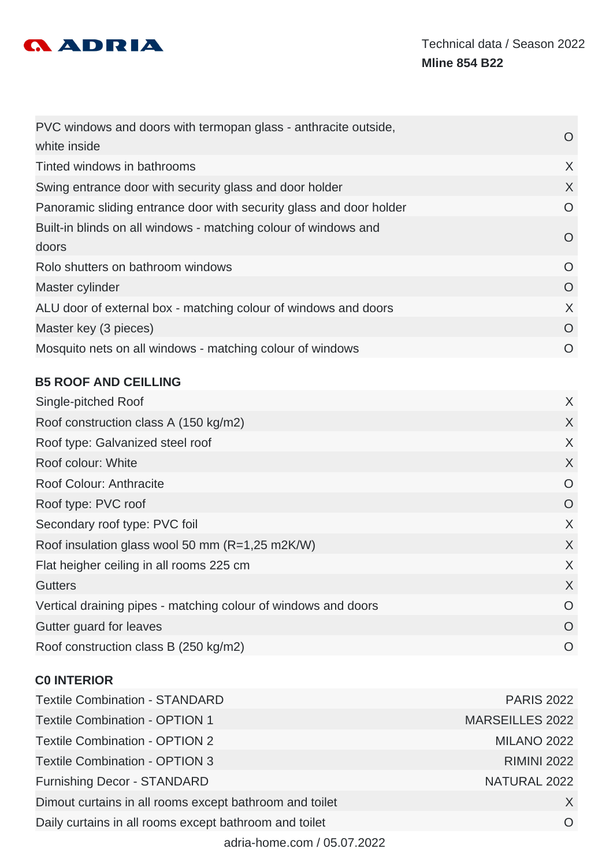

| PVC windows and doors with termopan glass - anthracite outside,     | $\left( \right)$ |
|---------------------------------------------------------------------|------------------|
| white inside                                                        |                  |
| Tinted windows in bathrooms                                         | X                |
| Swing entrance door with security glass and door holder             | X                |
| Panoramic sliding entrance door with security glass and door holder | $\circ$          |
| Built-in blinds on all windows - matching colour of windows and     | $\Omega$         |
| doors                                                               |                  |
| Rolo shutters on bathroom windows                                   | $\Omega$         |
| Master cylinder                                                     | O                |
| ALU door of external box - matching colour of windows and doors     | X                |
| Master key (3 pieces)                                               | O                |
| Mosquito nets on all windows - matching colour of windows           | $\Omega$         |

# **B5 ROOF AND CEILLING**

| Single-pitched Roof                                            | X        |
|----------------------------------------------------------------|----------|
| Roof construction class A (150 kg/m2)                          | X        |
| Roof type: Galvanized steel roof                               | X        |
| Roof colour: White                                             | X        |
| Roof Colour: Anthracite                                        | O        |
| Roof type: PVC roof                                            | O        |
| Secondary roof type: PVC foil                                  | X        |
| Roof insulation glass wool 50 mm (R=1,25 m2K/W)                | X        |
| Flat heigher ceiling in all rooms 225 cm                       | X        |
| <b>Gutters</b>                                                 | X        |
| Vertical draining pipes - matching colour of windows and doors | $\Omega$ |
| Gutter guard for leaves                                        | O        |
| Roof construction class B (250 kg/m2)                          | $\Omega$ |
|                                                                |          |

# **C0 INTERIOR**

| <b>Textile Combination - STANDARD</b>                   | <b>PARIS 2022</b>      |
|---------------------------------------------------------|------------------------|
| <b>Textile Combination - OPTION 1</b>                   | <b>MARSEILLES 2022</b> |
| <b>Textile Combination - OPTION 2</b>                   | <b>MILANO 2022</b>     |
| <b>Textile Combination - OPTION 3</b>                   | <b>RIMINI 2022</b>     |
| <b>Furnishing Decor - STANDARD</b>                      | NATURAL 2022           |
| Dimout curtains in all rooms except bathroom and toilet | X                      |
| Daily curtains in all rooms except bathroom and toilet  | $\Omega$               |
| adria-home.com / 05.07.2022                             |                        |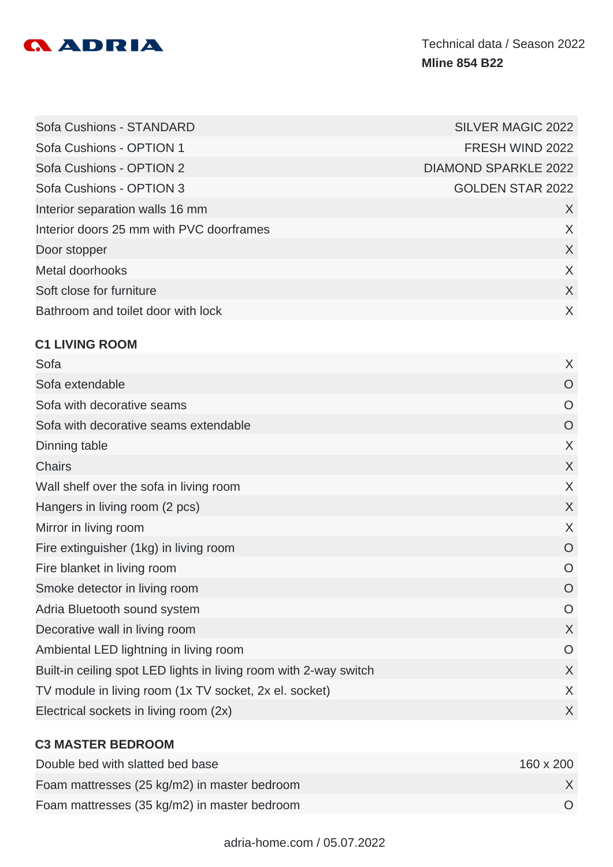

| Sofa Cushions - STANDARD                 | <b>SILVER MAGIC 2022</b>    |
|------------------------------------------|-----------------------------|
| Sofa Cushions - OPTION 1                 | FRESH WIND 2022             |
| Sofa Cushions - OPTION 2                 | <b>DIAMOND SPARKLE 2022</b> |
| Sofa Cushions - OPTION 3                 | <b>GOLDEN STAR 2022</b>     |
| Interior separation walls 16 mm          | X                           |
| Interior doors 25 mm with PVC doorframes | X                           |
| Door stopper                             | $\chi$                      |
| Metal doorhooks                          | X                           |
| Soft close for furniture                 | X                           |
| Bathroom and toilet door with lock       | X                           |

## **C1 LIVING ROOM**

| Sofa                                                              | X              |
|-------------------------------------------------------------------|----------------|
| Sofa extendable                                                   | O              |
| Sofa with decorative seams                                        | O              |
| Sofa with decorative seams extendable                             | O              |
| Dinning table                                                     | X              |
| <b>Chairs</b>                                                     | X              |
| Wall shelf over the sofa in living room                           | X              |
| Hangers in living room (2 pcs)                                    | X              |
| Mirror in living room                                             | X              |
| Fire extinguisher (1kg) in living room                            | $\overline{O}$ |
| Fire blanket in living room                                       | $\overline{O}$ |
| Smoke detector in living room                                     | $\overline{O}$ |
| Adria Bluetooth sound system                                      | O              |
| Decorative wall in living room                                    | X              |
| Ambiental LED lightning in living room                            | $\overline{O}$ |
| Built-in ceiling spot LED lights in living room with 2-way switch | X              |
| TV module in living room (1x TV socket, 2x el. socket)            | X              |
| Electrical sockets in living room (2x)                            | X              |
|                                                                   |                |

# **C3 MASTER BEDROOM**

| Double bed with slatted bed base             | 160 x 200 |
|----------------------------------------------|-----------|
| Foam mattresses (25 kg/m2) in master bedroom |           |
| Foam mattresses (35 kg/m2) in master bedroom |           |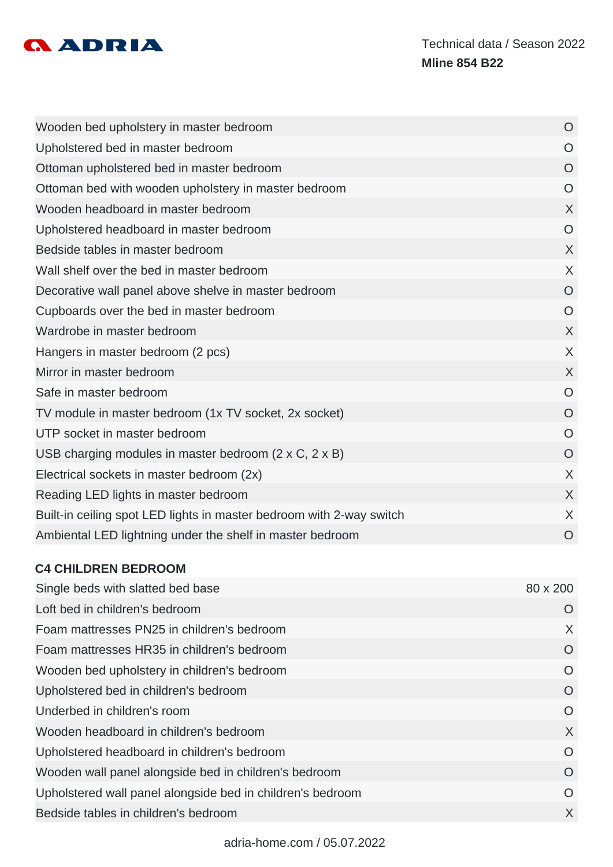

| Wooden bed upholstery in master bedroom                              | $\circ$        |
|----------------------------------------------------------------------|----------------|
| Upholstered bed in master bedroom                                    | $\overline{O}$ |
| Ottoman upholstered bed in master bedroom                            | $\circ$        |
| Ottoman bed with wooden upholstery in master bedroom                 | $\circ$        |
| Wooden headboard in master bedroom                                   | $\sf X$        |
| Upholstered headboard in master bedroom                              | $\circ$        |
| Bedside tables in master bedroom                                     | X              |
| Wall shelf over the bed in master bedroom                            | X              |
| Decorative wall panel above shelve in master bedroom                 | $\overline{O}$ |
| Cupboards over the bed in master bedroom                             | $\circ$        |
| Wardrobe in master bedroom                                           | $\sf X$        |
| Hangers in master bedroom (2 pcs)                                    | X              |
| Mirror in master bedroom                                             | X              |
| Safe in master bedroom                                               | $\overline{O}$ |
| TV module in master bedroom (1x TV socket, 2x socket)                | $\overline{O}$ |
| UTP socket in master bedroom                                         | $\circ$        |
| USB charging modules in master bedroom $(2 \times C, 2 \times B)$    | $\overline{O}$ |
| Electrical sockets in master bedroom (2x)                            | X              |
| Reading LED lights in master bedroom                                 | X              |
| Built-in ceiling spot LED lights in master bedroom with 2-way switch | X              |
| Ambiental LED lightning under the shelf in master bedroom            | O              |

# **C4 CHILDREN BEDROOM**

| Single beds with slatted bed base                          | 80 x 200 |
|------------------------------------------------------------|----------|
| Loft bed in children's bedroom                             | O        |
| Foam mattresses PN25 in children's bedroom                 | X        |
| Foam mattresses HR35 in children's bedroom                 | O        |
| Wooden bed upholstery in children's bedroom                | O        |
| Upholstered bed in children's bedroom                      | O        |
| Underbed in children's room                                | O        |
| Wooden headboard in children's bedroom                     | X        |
| Upholstered headboard in children's bedroom                | $\Omega$ |
| Wooden wall panel alongside bed in children's bedroom      | O        |
| Upholstered wall panel alongside bed in children's bedroom | O        |
| Bedside tables in children's bedroom                       | X        |
|                                                            |          |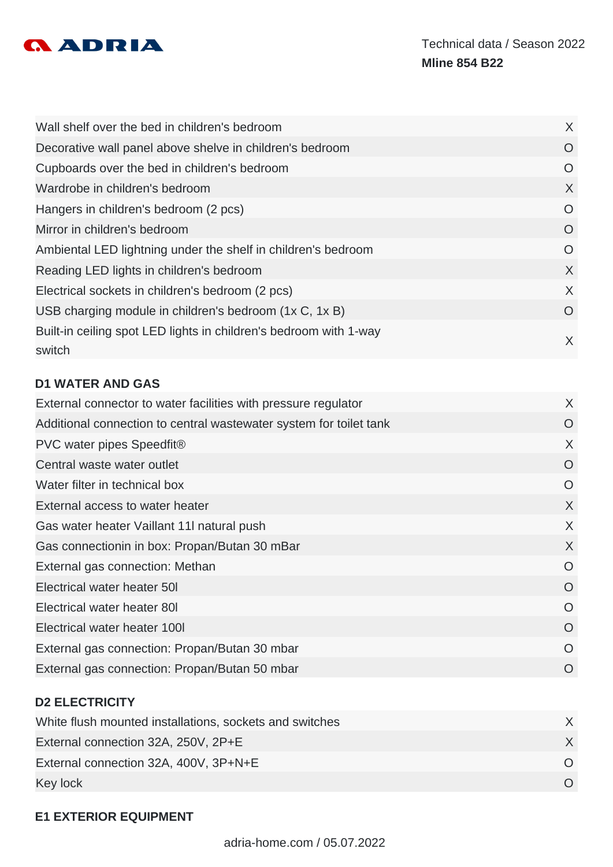

| Wall shelf over the bed in children's bedroom                               | X       |
|-----------------------------------------------------------------------------|---------|
| Decorative wall panel above shelve in children's bedroom                    | $\circ$ |
| Cupboards over the bed in children's bedroom                                | O       |
| Wardrobe in children's bedroom                                              | X       |
| Hangers in children's bedroom (2 pcs)                                       | O       |
| Mirror in children's bedroom                                                | $\circ$ |
| Ambiental LED lightning under the shelf in children's bedroom               | O       |
| Reading LED lights in children's bedroom                                    | X       |
| Electrical sockets in children's bedroom (2 pcs)                            | X       |
| USB charging module in children's bedroom (1x C, 1x B)                      | O       |
| Built-in ceiling spot LED lights in children's bedroom with 1-way<br>switch | X       |

# **D1 WATER AND GAS**

| External connector to water facilities with pressure regulator     | X        |
|--------------------------------------------------------------------|----------|
| Additional connection to central wastewater system for toilet tank | O        |
| PVC water pipes Speedfit®                                          | X        |
| Central waste water outlet                                         | O        |
| Water filter in technical box                                      | O        |
| External access to water heater                                    | X        |
| Gas water heater Vaillant 11I natural push                         | X        |
| Gas connectionin in box: Propan/Butan 30 mBar                      | X        |
| External gas connection: Methan                                    | O        |
| Electrical water heater 50I                                        | O        |
| Electrical water heater 801                                        | $\Omega$ |
| Electrical water heater 1001                                       | O        |
| External gas connection: Propan/Butan 30 mbar                      | O        |
| External gas connection: Propan/Butan 50 mbar                      | O        |
|                                                                    |          |

# **D2 ELECTRICITY**

| White flush mounted installations, sockets and switches |  |
|---------------------------------------------------------|--|
| External connection 32A, 250V, 2P+E                     |  |
| External connection 32A, 400V, 3P+N+E                   |  |
| Key lock                                                |  |

# **E1 EXTERIOR EQUIPMENT**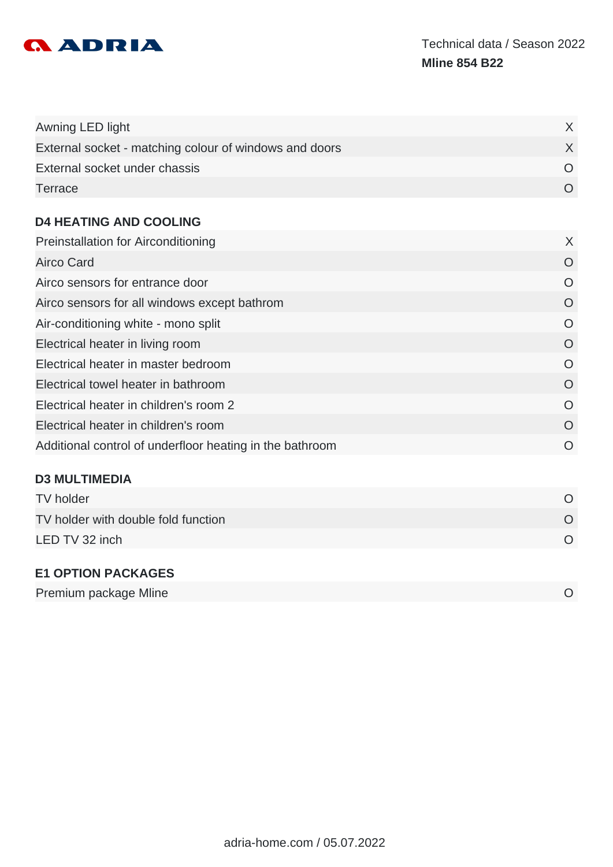

| Awning LED light                                       |  |
|--------------------------------------------------------|--|
| External socket - matching colour of windows and doors |  |
| External socket under chassis                          |  |
| Terrace                                                |  |

#### **D4 HEATING AND COOLING**

| X        |
|----------|
| O        |
| O        |
| O        |
| O        |
| $\Omega$ |
| $\Omega$ |
| $\Omega$ |
| $\Omega$ |
| $\Omega$ |
| O        |
|          |

# **D3 MULTIMEDIA**

| TV holder                           |  |
|-------------------------------------|--|
| TV holder with double fold function |  |
| LED TV 32 inch                      |  |
|                                     |  |

# **E1 OPTION PACKAGES**

|--|